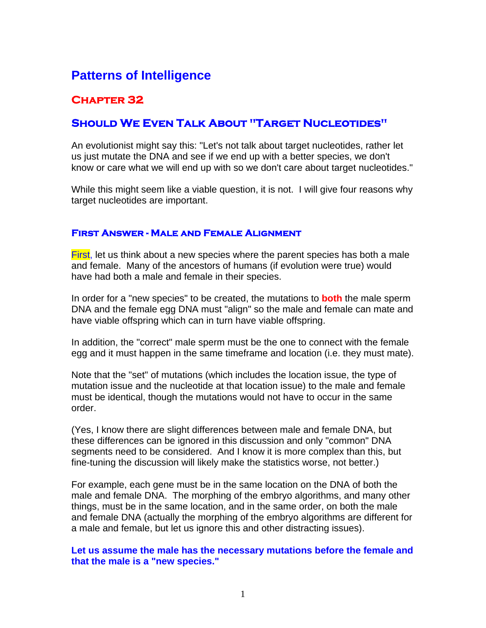# **Patterns of Intelligence**

# **Chapter 32**

# **Should We Even Talk About "Target Nucleotides"**

An evolutionist might say this: "Let's not talk about target nucleotides, rather let us just mutate the DNA and see if we end up with a better species, we don't know or care what we will end up with so we don't care about target nucleotides."

While this might seem like a viable question, it is not. I will give four reasons why target nucleotides are important.

#### **First Answer - Male and Female Alignment**

**First**, let us think about a new species where the parent species has both a male and female. Many of the ancestors of humans (if evolution were true) would have had both a male and female in their species.

In order for a "new species" to be created, the mutations to **both** the male sperm DNA and the female egg DNA must "align" so the male and female can mate and have viable offspring which can in turn have viable offspring.

In addition, the "correct" male sperm must be the one to connect with the female egg and it must happen in the same timeframe and location (i.e. they must mate).

Note that the "set" of mutations (which includes the location issue, the type of mutation issue and the nucleotide at that location issue) to the male and female must be identical, though the mutations would not have to occur in the same order.

(Yes, I know there are slight differences between male and female DNA, but these differences can be ignored in this discussion and only "common" DNA segments need to be considered. And I know it is more complex than this, but fine-tuning the discussion will likely make the statistics worse, not better.)

For example, each gene must be in the same location on the DNA of both the male and female DNA. The morphing of the embryo algorithms, and many other things, must be in the same location, and in the same order, on both the male and female DNA (actually the morphing of the embryo algorithms are different for a male and female, but let us ignore this and other distracting issues).

**Let us assume the male has the necessary mutations before the female and that the male is a "new species."**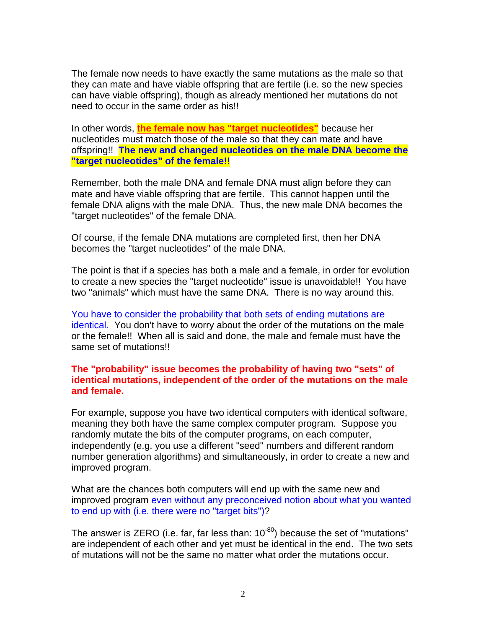The female now needs to have exactly the same mutations as the male so that they can mate and have viable offspring that are fertile (i.e. so the new species can have viable offspring), though as already mentioned her mutations do not need to occur in the same order as his!!

In other words, **the female now has "target nucleotides"** because her nucleotides must match those of the male so that they can mate and have offspring!! **The new and changed nucleotides on the male DNA become the "target nucleotides" of the female!!**

Remember, both the male DNA and female DNA must align before they can mate and have viable offspring that are fertile. This cannot happen until the female DNA aligns with the male DNA. Thus, the new male DNA becomes the "target nucleotides" of the female DNA.

Of course, if the female DNA mutations are completed first, then her DNA becomes the "target nucleotides" of the male DNA.

The point is that if a species has both a male and a female, in order for evolution to create a new species the "target nucleotide" issue is unavoidable!! You have two "animals" which must have the same DNA. There is no way around this.

You have to consider the probability that both sets of ending mutations are identical. You don't have to worry about the order of the mutations on the male or the female!! When all is said and done, the male and female must have the same set of mutations!!

#### **The "probability" issue becomes the probability of having two "sets" of identical mutations, independent of the order of the mutations on the male and female.**

For example, suppose you have two identical computers with identical software, meaning they both have the same complex computer program. Suppose you randomly mutate the bits of the computer programs, on each computer, independently (e.g. you use a different "seed" numbers and different random number generation algorithms) and simultaneously, in order to create a new and improved program.

What are the chances both computers will end up with the same new and improved program even without any preconceived notion about what you wanted to end up with (i.e. there were no "target bits")?

The answer is ZERO (i.e. far, far less than:  $10^{-80}$ ) because the set of "mutations" are independent of each other and yet must be identical in the end. The two sets of mutations will not be the same no matter what order the mutations occur.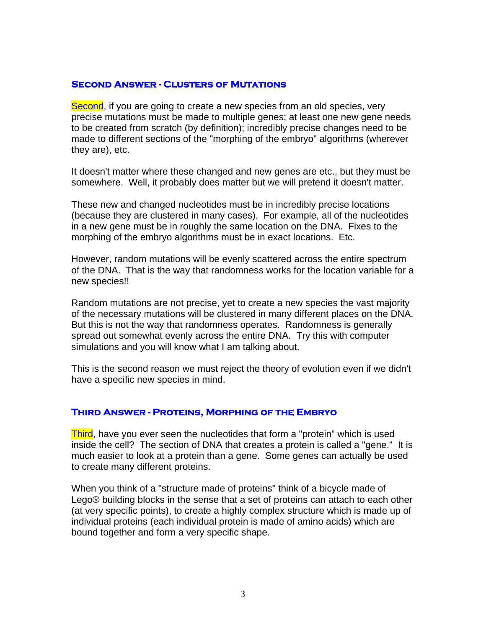#### **Second Answer - Clusters of Mutations**

Second, if you are going to create a new species from an old species, very precise mutations must be made to multiple genes; at least one new gene needs to be created from scratch (by definition); incredibly precise changes need to be made to different sections of the "morphing of the embryo" algorithms (wherever they are), etc.

It doesn't matter where these changed and new genes are etc., but they must be somewhere. Well, it probably does matter but we will pretend it doesn't matter.

These new and changed nucleotides must be in incredibly precise locations (because they are clustered in many cases). For example, all of the nucleotides in a new gene must be in roughly the same location on the DNA. Fixes to the morphing of the embryo algorithms must be in exact locations. Etc.

However, random mutations will be evenly scattered across the entire spectrum of the DNA. That is the way that randomness works for the location variable for a new species!!

Random mutations are not precise, yet to create a new species the vast majority of the necessary mutations will be clustered in many different places on the DNA. But this is not the way that randomness operates. Randomness is generally spread out somewhat evenly across the entire DNA. Try this with computer simulations and you will know what I am talking about.

This is the second reason we must reject the theory of evolution even if we didn't have a specific new species in mind.

### **Third Answer - Proteins, Morphing of the Embryo**

Third, have you ever seen the nucleotides that form a "protein" which is used inside the cell? The section of DNA that creates a protein is called a "gene." It is much easier to look at a protein than a gene. Some genes can actually be used to create many different proteins.

When you think of a "structure made of proteins" think of a bicycle made of Lego® building blocks in the sense that a set of proteins can attach to each other (at very specific points), to create a highly complex structure which is made up of individual proteins (each individual protein is made of amino acids) which are bound together and form a very specific shape.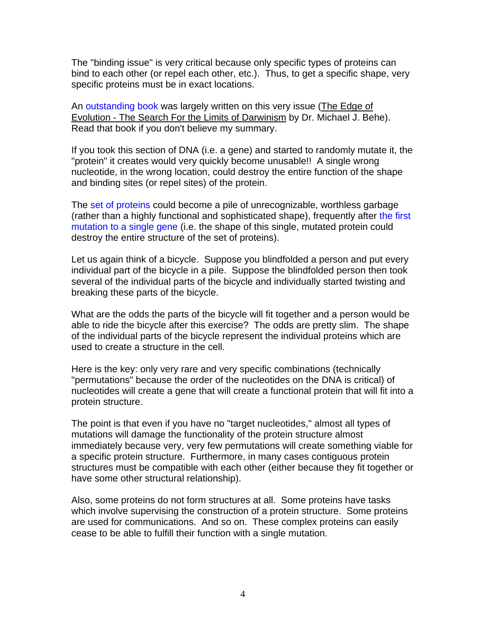The "binding issue" is very critical because only specific types of proteins can bind to each other (or repel each other, etc.). Thus, to get a specific shape, very specific proteins must be in exact locations.

An outstanding book was largely written on this very issue (The Edge of Evolution - The Search For the Limits of Darwinism by Dr. Michael J. Behe). Read that book if you don't believe my summary.

If you took this section of DNA (i.e. a gene) and started to randomly mutate it, the "protein" it creates would very quickly become unusable!! A single wrong nucleotide, in the wrong location, could destroy the entire function of the shape and binding sites (or repel sites) of the protein.

The set of proteins could become a pile of unrecognizable, worthless garbage (rather than a highly functional and sophisticated shape), frequently after the first mutation to a single gene (i.e. the shape of this single, mutated protein could destroy the entire structure of the set of proteins).

Let us again think of a bicycle. Suppose you blindfolded a person and put every individual part of the bicycle in a pile. Suppose the blindfolded person then took several of the individual parts of the bicycle and individually started twisting and breaking these parts of the bicycle.

What are the odds the parts of the bicycle will fit together and a person would be able to ride the bicycle after this exercise? The odds are pretty slim. The shape of the individual parts of the bicycle represent the individual proteins which are used to create a structure in the cell.

Here is the key: only very rare and very specific combinations (technically "permutations" because the order of the nucleotides on the DNA is critical) of nucleotides will create a gene that will create a functional protein that will fit into a protein structure.

The point is that even if you have no "target nucleotides," almost all types of mutations will damage the functionality of the protein structure almost immediately because very, very few permutations will create something viable for a specific protein structure. Furthermore, in many cases contiguous protein structures must be compatible with each other (either because they fit together or have some other structural relationship).

Also, some proteins do not form structures at all. Some proteins have tasks which involve supervising the construction of a protein structure. Some proteins are used for communications. And so on. These complex proteins can easily cease to be able to fulfill their function with a single mutation.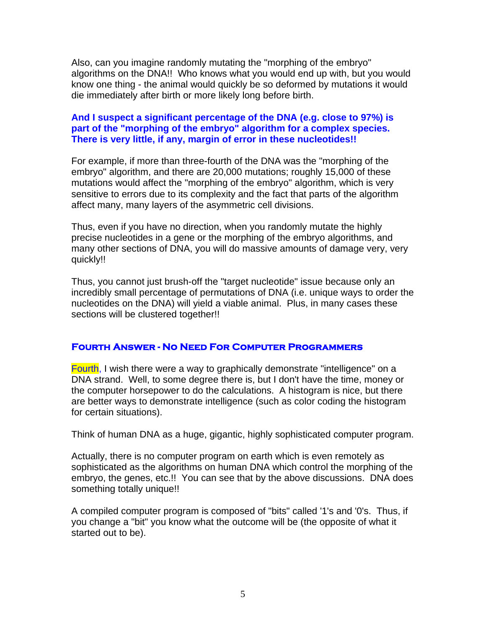Also, can you imagine randomly mutating the "morphing of the embryo" algorithms on the DNA!! Who knows what you would end up with, but you would know one thing - the animal would quickly be so deformed by mutations it would die immediately after birth or more likely long before birth.

## **And I suspect a significant percentage of the DNA (e.g. close to 97%) is part of the "morphing of the embryo" algorithm for a complex species. There is very little, if any, margin of error in these nucleotides!!**

For example, if more than three-fourth of the DNA was the "morphing of the embryo" algorithm, and there are 20,000 mutations; roughly 15,000 of these mutations would affect the "morphing of the embryo" algorithm, which is very sensitive to errors due to its complexity and the fact that parts of the algorithm affect many, many layers of the asymmetric cell divisions.

Thus, even if you have no direction, when you randomly mutate the highly precise nucleotides in a gene or the morphing of the embryo algorithms, and many other sections of DNA, you will do massive amounts of damage very, very quickly!!

Thus, you cannot just brush-off the "target nucleotide" issue because only an incredibly small percentage of permutations of DNA (i.e. unique ways to order the nucleotides on the DNA) will yield a viable animal. Plus, in many cases these sections will be clustered together!!

### **Fourth Answer - No Need For Computer Programmers**

Fourth, I wish there were a way to graphically demonstrate "intelligence" on a DNA strand. Well, to some degree there is, but I don't have the time, money or the computer horsepower to do the calculations. A histogram is nice, but there are better ways to demonstrate intelligence (such as color coding the histogram for certain situations).

Think of human DNA as a huge, gigantic, highly sophisticated computer program.

Actually, there is no computer program on earth which is even remotely as sophisticated as the algorithms on human DNA which control the morphing of the embryo, the genes, etc.!! You can see that by the above discussions. DNA does something totally unique!!

A compiled computer program is composed of "bits" called '1's and '0's. Thus, if you change a "bit" you know what the outcome will be (the opposite of what it started out to be).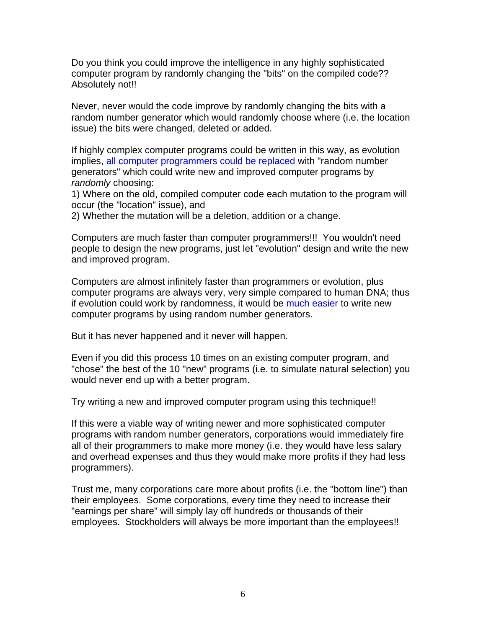Do you think you could improve the intelligence in any highly sophisticated computer program by randomly changing the "bits" on the compiled code?? Absolutely not!!

Never, never would the code improve by randomly changing the bits with a random number generator which would randomly choose where (i.e. the location issue) the bits were changed, deleted or added.

If highly complex computer programs could be written in this way, as evolution implies, all computer programmers could be replaced with "random number generators" which could write new and improved computer programs by *randomly* choosing:

1) Where on the old, compiled computer code each mutation to the program will occur (the "location" issue), and

2) Whether the mutation will be a deletion, addition or a change.

Computers are much faster than computer programmers!!! You wouldn't need people to design the new programs, just let "evolution" design and write the new and improved program.

Computers are almost infinitely faster than programmers or evolution, plus computer programs are always very, very simple compared to human DNA; thus if evolution could work by randomness, it would be much easier to write new computer programs by using random number generators.

But it has never happened and it never will happen.

Even if you did this process 10 times on an existing computer program, and "chose" the best of the 10 "new" programs (i.e. to simulate natural selection) you would never end up with a better program.

Try writing a new and improved computer program using this technique!!

If this were a viable way of writing newer and more sophisticated computer programs with random number generators, corporations would immediately fire all of their programmers to make more money (i.e. they would have less salary and overhead expenses and thus they would make more profits if they had less programmers).

Trust me, many corporations care more about profits (i.e. the "bottom line") than their employees. Some corporations, every time they need to increase their "earnings per share" will simply lay off hundreds or thousands of their employees. Stockholders will always be more important than the employees!!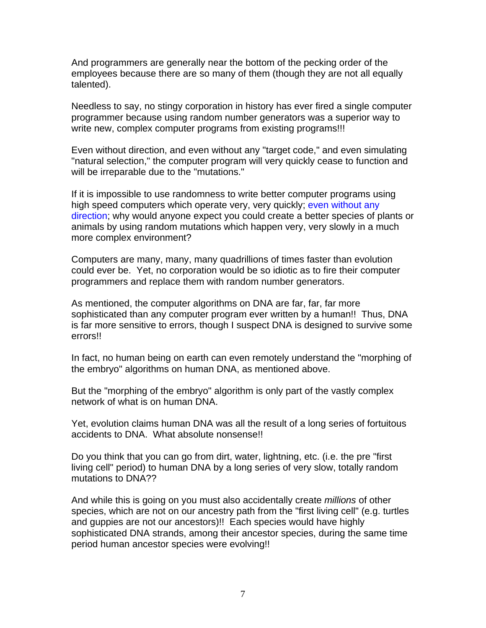And programmers are generally near the bottom of the pecking order of the employees because there are so many of them (though they are not all equally talented).

Needless to say, no stingy corporation in history has ever fired a single computer programmer because using random number generators was a superior way to write new, complex computer programs from existing programs!!!

Even without direction, and even without any "target code," and even simulating "natural selection," the computer program will very quickly cease to function and will be irreparable due to the "mutations."

If it is impossible to use randomness to write better computer programs using high speed computers which operate very, very quickly; even without any direction; why would anyone expect you could create a better species of plants or animals by using random mutations which happen very, very slowly in a much more complex environment?

Computers are many, many, many quadrillions of times faster than evolution could ever be. Yet, no corporation would be so idiotic as to fire their computer programmers and replace them with random number generators.

As mentioned, the computer algorithms on DNA are far, far, far more sophisticated than any computer program ever written by a human!! Thus, DNA is far more sensitive to errors, though I suspect DNA is designed to survive some errors!!

In fact, no human being on earth can even remotely understand the "morphing of the embryo" algorithms on human DNA, as mentioned above.

But the "morphing of the embryo" algorithm is only part of the vastly complex network of what is on human DNA.

Yet, evolution claims human DNA was all the result of a long series of fortuitous accidents to DNA. What absolute nonsense!!

Do you think that you can go from dirt, water, lightning, etc. (i.e. the pre "first living cell" period) to human DNA by a long series of very slow, totally random mutations to DNA??

And while this is going on you must also accidentally create *millions* of other species, which are not on our ancestry path from the "first living cell" (e.g. turtles and guppies are not our ancestors)!! Each species would have highly sophisticated DNA strands, among their ancestor species, during the same time period human ancestor species were evolving!!